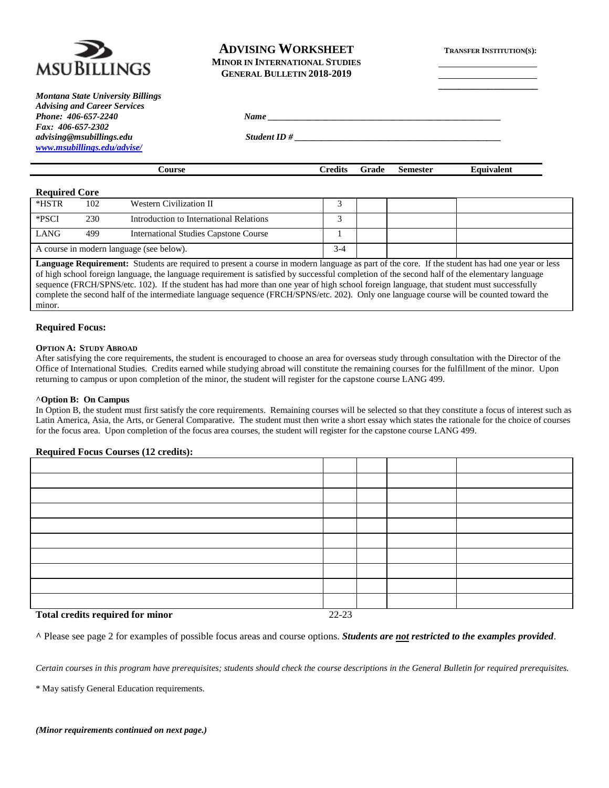

*Montana State University Billings Advising and Career Services Phone:* 406-657-2240 *Name Fax: 406-657-2302 advising@msubillings.edu Student ID # \_\_\_\_\_\_\_\_\_\_\_\_\_\_\_\_\_\_\_\_\_\_\_\_\_\_\_\_\_\_\_\_\_\_\_\_\_\_\_\_\_\_\_\_\_\_ [www.msubillings.edu/advise/](http://www.msubillings.edu/advise/)*

# **ADVISING WORKSHEET TRANSFER INSTITUTION(S): MINOR IN INTERNATIONAL STUDIES**

**\_\_\_\_\_\_\_\_\_\_\_\_\_\_\_\_\_\_\_\_**

**GENERAL BULLETIN 2018-2019**

| `anrca | <b>Predits</b> | rade<br>w | Semester<br>-------- | aurvalent<br>чн |
|--------|----------------|-----------|----------------------|-----------------|
|        |                |           |                      |                 |

## **Required Core**

| *HSTR                                    | 102 | Western Civilization II                      |  |  |  |
|------------------------------------------|-----|----------------------------------------------|--|--|--|
| *PSCI                                    | 230 | Introduction to International Relations      |  |  |  |
| <b>LANG</b>                              | 499 | <b>International Studies Capstone Course</b> |  |  |  |
| A course in modern language (see below). |     | $3 - 4$                                      |  |  |  |

**Language Requirement:** Students are required to present a course in modern language as part of the core. If the student has had one year or less of high school foreign language, the language requirement is satisfied by successful completion of the second half of the elementary language sequence (FRCH/SPNS/etc. 102). If the student has had more than one year of high school foreign language, that student must successfully complete the second half of the intermediate language sequence (FRCH/SPNS/etc. 202). Only one language course will be counted toward the minor.

## **Required Focus:**

#### **OPTION A: STUDY ABROAD**

After satisfying the core requirements, the student is encouraged to choose an area for overseas study through consultation with the Director of the Office of International Studies. Credits earned while studying abroad will constitute the remaining courses for the fulfillment of the minor. Upon returning to campus or upon completion of the minor, the student will register for the capstone course LANG 499.

#### **^Option B: On Campus**

In Option B, the student must first satisfy the core requirements. Remaining courses will be selected so that they constitute a focus of interest such as Latin America, Asia, the Arts, or General Comparative. The student must then write a short essay which states the rationale for the choice of courses for the focus area. Upon completion of the focus area courses, the student will register for the capstone course LANG 499.

#### **Required Focus Courses (12 credits):**

| Total and the newsmal few miner | 22.22 |  |  |
|---------------------------------|-------|--|--|

#### **Total credits required for minor** 22-23

**^** Please see page 2 for examples of possible focus areas and course options. *Students are not restricted to the examples provided*.

*Certain courses in this program have prerequisites; students should check the course descriptions in the General Bulletin for required prerequisites.*

\* May satisfy General Education requirements.